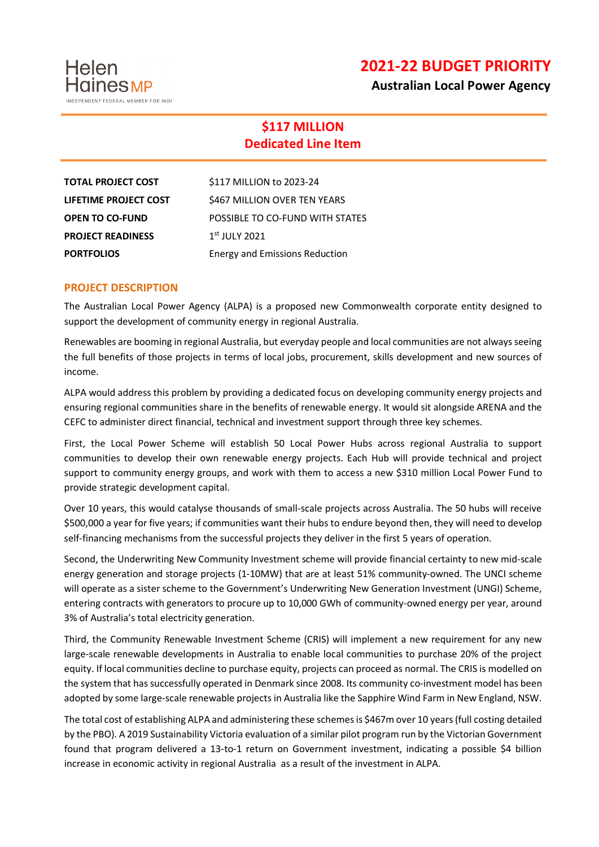**2021-22 BUDGET PRIORITY**

**Australian Local Power Agency**

## **\$117 MILLION Dedicated Line Item**

| <b>TOTAL PROJECT COST</b> | \$117 MILLION to 2023-24        |
|---------------------------|---------------------------------|
| LIFETIME PROJECT COST     | \$467 MILLION OVER TEN YEARS    |
| <b>OPEN TO CO-FUND</b>    | POSSIBLE TO CO-FUND WITH STATES |
| <b>PROJECT READINESS</b>  | $1st$ JULY 2021                 |
| <b>PORTFOLIOS</b>         | Energy and Emissions Reduction  |

## **PROJECT DESCRIPTION**

Helen

**Haines** MP

-<br>Int eededal membed ead indi

The Australian Local Power Agency (ALPA) is a proposed new Commonwealth corporate entity designed to support the development of community energy in regional Australia.

Renewables are booming in regional Australia, but everyday people and local communities are not always seeing the full benefits of those projects in terms of local jobs, procurement, skills development and new sources of income.

ALPA would address this problem by providing a dedicated focus on developing community energy projects and ensuring regional communities share in the benefits of renewable energy. It would sit alongside ARENA and the CEFC to administer direct financial, technical and investment support through three key schemes.

First, the Local Power Scheme will establish 50 Local Power Hubs across regional Australia to support communities to develop their own renewable energy projects. Each Hub will provide technical and project support to community energy groups, and work with them to access a new \$310 million Local Power Fund to provide strategic development capital.

Over 10 years, this would catalyse thousands of small-scale projects across Australia. The 50 hubs will receive \$500,000 a year for five years; if communities want their hubs to endure beyond then, they will need to develop self-financing mechanisms from the successful projects they deliver in the first 5 years of operation.

Second, the Underwriting New Community Investment scheme will provide financial certainty to new mid-scale energy generation and storage projects (1-10MW) that are at least 51% community-owned. The UNCI scheme will operate as a sister scheme to the Government's Underwriting New Generation Investment (UNGI) Scheme, entering contracts with generators to procure up to 10,000 GWh of community-owned energy per year, around 3% of Australia's total electricity generation.

Third, the Community Renewable Investment Scheme (CRIS) will implement a new requirement for any new large-scale renewable developments in Australia to enable local communities to purchase 20% of the project equity. If local communities decline to purchase equity, projects can proceed as normal. The CRIS is modelled on the system that has successfully operated in Denmark since 2008. Its community co-investment model has been adopted by some large-scale renewable projects in Australia like the Sapphire Wind Farm in New England, NSW.

The total cost of establishing ALPA and administering these schemes is \$467m over 10 years (full costing detailed by the PBO). A 2019 Sustainability Victoria evaluation of a similar pilot program run by the Victorian Government found that program delivered a 13-to-1 return on Government investment, indicating a possible \$4 billion increase in economic activity in regional Australia as a result of the investment in ALPA.